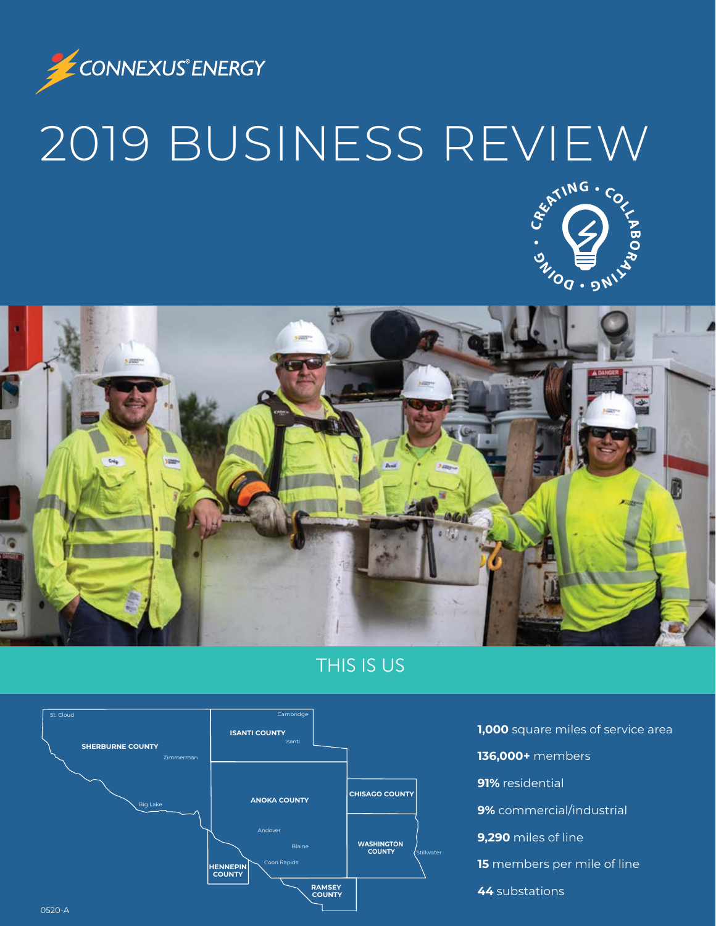

# 2019 BUSINESS REVIEW





### THIS IS US



**1,000** square miles of service area **136,000+** members **91%** residential **9%** commercial/industrial **9,290** miles of line **15** members per mile of line **44** substations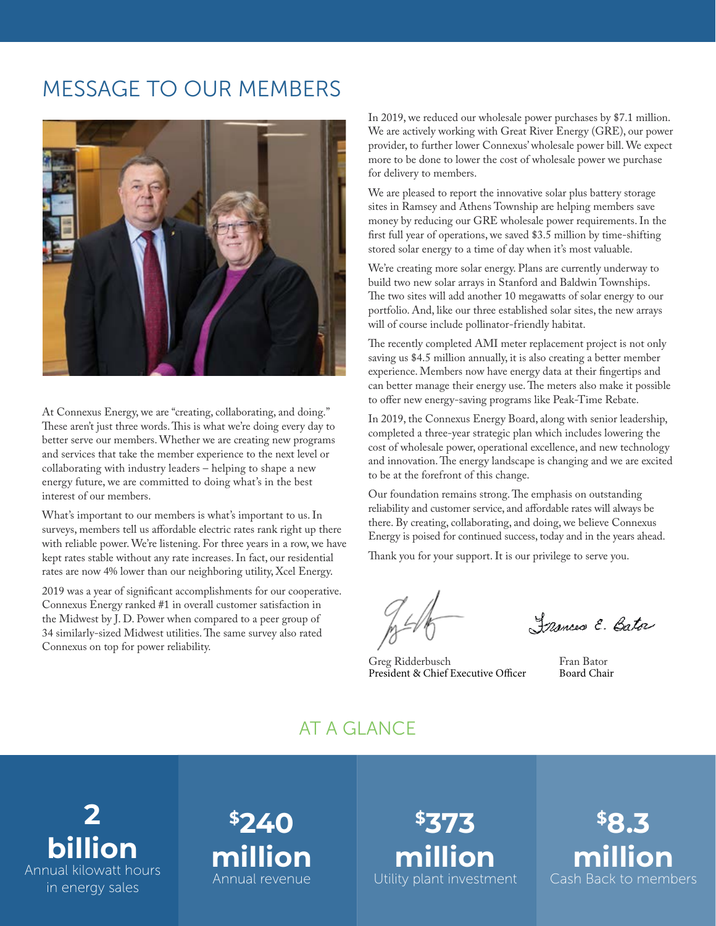## MESSAGE TO OUR MEMBERS



At Connexus Energy, we are "creating, collaborating, and doing." These aren't just three words. This is what we're doing every day to better serve our members. Whether we are creating new programs and services that take the member experience to the next level or collaborating with industry leaders – helping to shape a new energy future, we are committed to doing what's in the best interest of our members.

What's important to our members is what's important to us. In surveys, members tell us affordable electric rates rank right up there with reliable power. We're listening. For three years in a row, we have kept rates stable without any rate increases. In fact, our residential rates are now 4% lower than our neighboring utility, Xcel Energy.

2019 was a year of significant accomplishments for our cooperative. Connexus Energy ranked #1 in overall customer satisfaction in the Midwest by J. D. Power when compared to a peer group of 34 similarly-sized Midwest utilities. The same survey also rated Connexus on top for power reliability.

In 2019, we reduced our wholesale power purchases by \$7.1 million. We are actively working with Great River Energy (GRE), our power provider, to further lower Connexus' wholesale power bill. We expect more to be done to lower the cost of wholesale power we purchase for delivery to members.

We are pleased to report the innovative solar plus battery storage sites in Ramsey and Athens Township are helping members save money by reducing our GRE wholesale power requirements. In the first full year of operations, we saved \$3.5 million by time-shifting stored solar energy to a time of day when it's most valuable.

We're creating more solar energy. Plans are currently underway to build two new solar arrays in Stanford and Baldwin Townships. The two sites will add another 10 megawatts of solar energy to our portfolio. And, like our three established solar sites, the new arrays will of course include pollinator-friendly habitat.

The recently completed AMI meter replacement project is not only saving us \$4.5 million annually, it is also creating a better member experience. Members now have energy data at their fingertips and can better manage their energy use. The meters also make it possible to offer new energy-saving programs like Peak-Time Rebate.

In 2019, the Connexus Energy Board, along with senior leadership, completed a three-year strategic plan which includes lowering the cost of wholesale power, operational excellence, and new technology and innovation. The energy landscape is changing and we are excited to be at the forefront of this change.

Our foundation remains strong. The emphasis on outstanding reliability and customer service, and affordable rates will always be there. By creating, collaborating, and doing, we believe Connexus Energy is poised for continued success, today and in the years ahead.

Thank you for your support. It is our privilege to serve you.

Frances E. Bato

Greg Ridderbusch President & Chief Executive Officer

Fran Bator Board Chair

#### AT A GLANCE

**2 billion** Annual kilowatt hours in energy sales

## **\$240 million** Annual revenue

**\$373 million** Utility plant investment

**\$8.3 million** Cash Back to members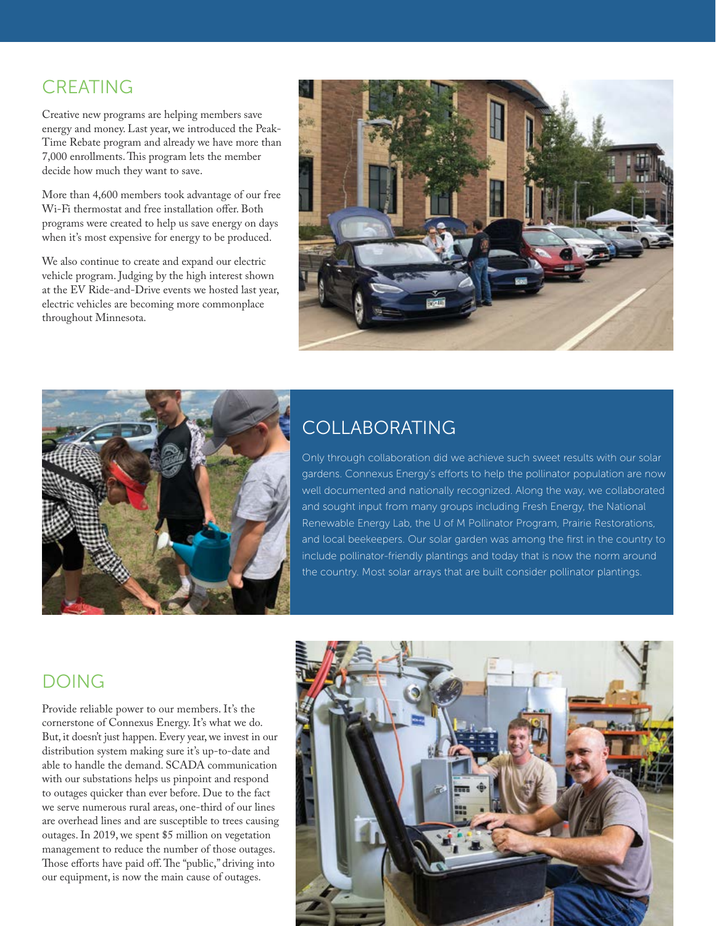#### CREATING

Creative new programs are helping members save energy and money. Last year, we introduced the Peak-Time Rebate program and already we have more than 7,000 enrollments. This program lets the member decide how much they want to save.

More than 4,600 members took advantage of our free Wi-Fi thermostat and free installation offer. Both programs were created to help us save energy on days when it's most expensive for energy to be produced.

We also continue to create and expand our electric vehicle program. Judging by the high interest shown at the EV Ride-and-Drive events we hosted last year, electric vehicles are becoming more commonplace throughout Minnesota.





## **COLLABORATING**

Only through collaboration did we achieve such sweet results with our solar gardens. Connexus Energy's efforts to help the pollinator population are now well documented and nationally recognized. Along the way, we collaborated and sought input from many groups including Fresh Energy, the National Renewable Energy Lab, the U of M Pollinator Program, Prairie Restorations, and local beekeepers. Our solar garden was among the first in the country to include pollinator-friendly plantings and today that is now the norm around the country. Most solar arrays that are built consider pollinator plantings.

#### DOING

Provide reliable power to our members. It's the cornerstone of Connexus Energy. It's what we do. But, it doesn't just happen. Every year, we invest in our distribution system making sure it's up-to-date and able to handle the demand. SCADA communication with our substations helps us pinpoint and respond to outages quicker than ever before. Due to the fact we serve numerous rural areas, one-third of our lines are overhead lines and are susceptible to trees causing outages. In 2019, we spent \$5 million on vegetation management to reduce the number of those outages. Those efforts have paid off. The "public," driving into our equipment, is now the main cause of outages.

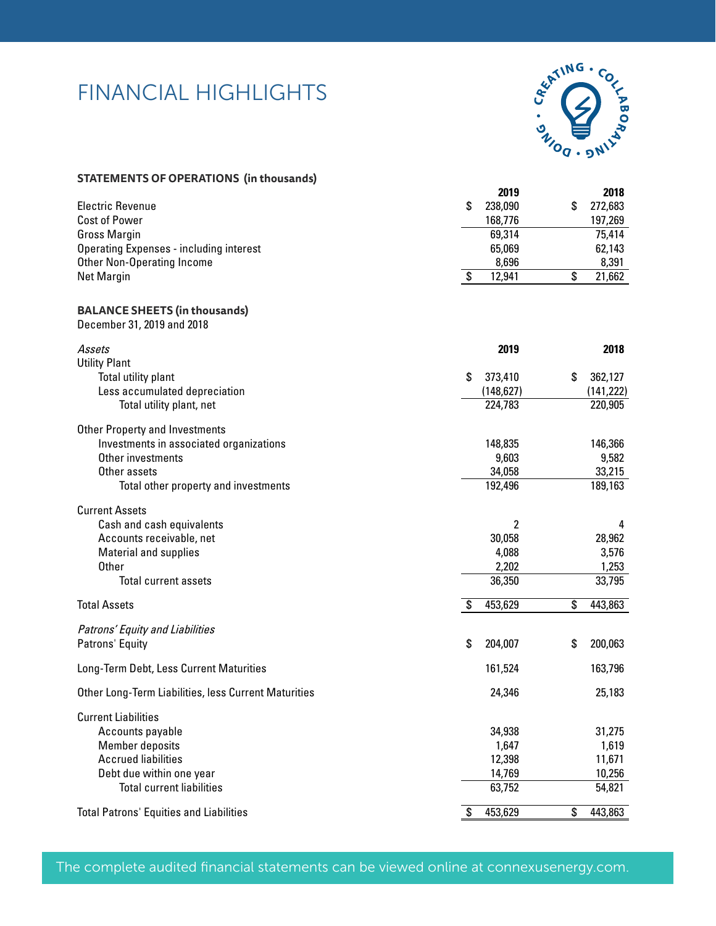## FINANCIAL HIGHLIGHTS



| STATEMENTS OF OPERATIONS (in thousands) |  |
|-----------------------------------------|--|
|-----------------------------------------|--|

|                                                                    | 2019                        | 2018                        |
|--------------------------------------------------------------------|-----------------------------|-----------------------------|
| <b>Electric Revenue</b>                                            | \$<br>238,090               | 272,683<br>\$               |
| <b>Cost of Power</b>                                               | 168,776                     | 197,269                     |
| <b>Gross Margin</b>                                                | 69,314                      | 75,414                      |
| <b>Operating Expenses - including interest</b>                     | 65,069                      | 62,143                      |
| <b>Other Non-Operating Income</b>                                  | 8,696                       | 8,391                       |
| Net Margin                                                         | \$<br>12,941                | \$<br>21,662                |
| <b>BALANCE SHEETS (in thousands)</b><br>December 31, 2019 and 2018 |                             |                             |
| Assets                                                             | 2019                        | 2018                        |
| <b>Utility Plant</b>                                               |                             |                             |
| Total utility plant<br>Less accumulated depreciation               | \$<br>373,410<br>(148, 627) | \$<br>362,127<br>(141, 222) |
| Total utility plant, net                                           | 224,783                     | 220,905                     |
|                                                                    |                             |                             |
| <b>Other Property and Investments</b>                              |                             |                             |
| Investments in associated organizations                            | 148,835                     | 146,366                     |
| Other investments                                                  | 9,603                       | 9,582                       |
| Other assets                                                       | 34,058                      | 33,215                      |
| Total other property and investments                               | 192,496                     | 189,163                     |
| <b>Current Assets</b>                                              |                             |                             |
| Cash and cash equivalents                                          | 2                           | 4                           |
| Accounts receivable, net                                           | 30,058                      | 28,962                      |
| <b>Material and supplies</b>                                       | 4,088                       | 3,576                       |
| <b>Other</b>                                                       | 2,202                       | 1,253                       |
| <b>Total current assets</b>                                        | 36,350                      | 33,795                      |
| <b>Total Assets</b>                                                | 453,629<br>\$               | 443,863<br>\$               |
| Patrons' Equity and Liabilities                                    |                             |                             |
| Patrons' Equity                                                    | \$<br>204,007               | \$<br>200,063               |
| Long-Term Debt, Less Current Maturities                            | 161,524                     | 163,796                     |
| Other Long-Term Liabilities, less Current Maturities               | 24,346                      | 25,183                      |
| <b>Current Liabilities</b>                                         |                             |                             |
| Accounts payable                                                   | 34,938                      | 31,275                      |
| <b>Member deposits</b>                                             | 1,647                       | 1,619                       |
| <b>Accrued liabilities</b>                                         | 12,398                      | 11,671                      |
| Debt due within one year                                           | 14,769                      | 10,256                      |
| <b>Total current liabilities</b>                                   | 63,752                      | 54,821                      |
| <b>Total Patrons' Equities and Liabilities</b>                     | \$<br>453,629               | 443,863<br>\$               |

The complete audited financial statements can be viewed online at connexusenergy.com.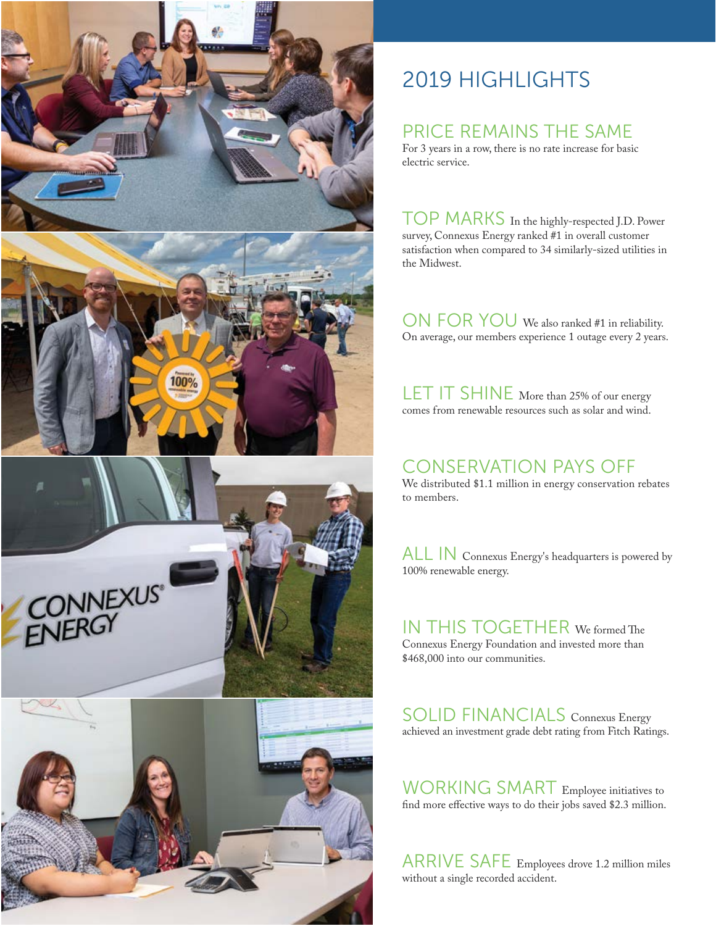

# 2019 HIGHLIGHTS

#### PRICE REMAINS THE SAME

For 3 years in a row, there is no rate increase for basic electric service.

TOP MARKS In the highly-respected J.D. Power survey, Connexus Energy ranked #1 in overall customer satisfaction when compared to 34 similarly-sized utilities in the Midwest.

ON FOR YOU We also ranked #1 in reliability. On average, our members experience 1 outage every 2 years.

LET IT SHINE More than 25% of our energy comes from renewable resources such as solar and wind.

#### CONSERVATION PAYS OFF

We distributed \$1.1 million in energy conservation rebates to members.

ALL IN Connexus Energy's headquarters is powered by 100% renewable energy.

IN THIS TOGETHER We formed The Connexus Energy Foundation and invested more than \$468,000 into our communities.

SOLID FINANCIALS Connexus Energy achieved an investment grade debt rating from Fitch Ratings.

WORKING SMART Employee initiatives to find more effective ways to do their jobs saved \$2.3 million.

ARRIVE SAFE Employees drove 1.2 million miles without a single recorded accident.